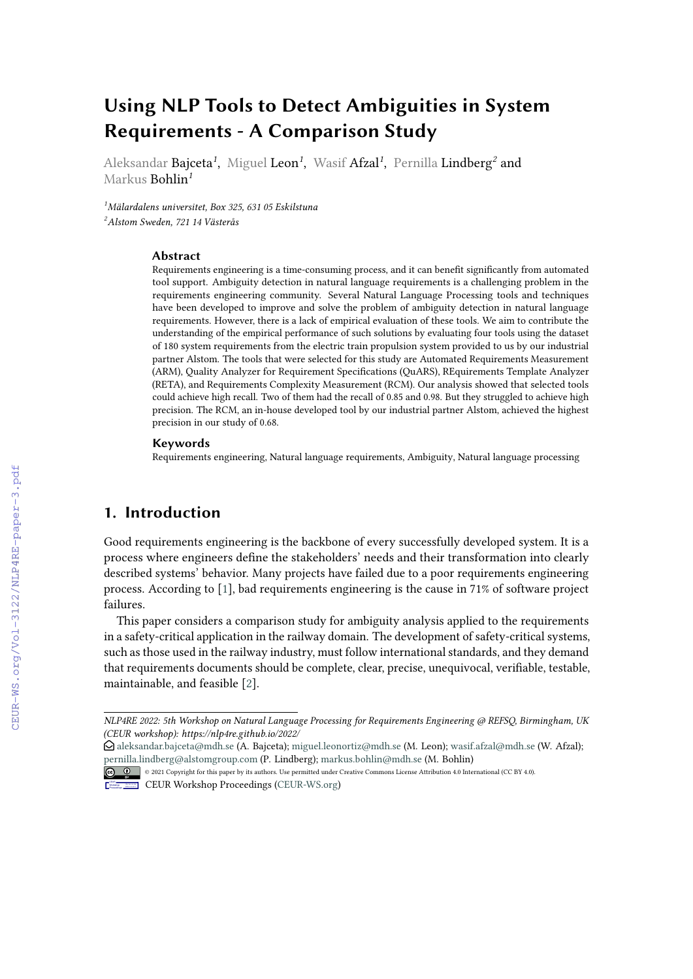# **Using NLP Tools to Detect Ambiguities in System Requirements - A Comparison Study**

Aleksandar Bajceta*<sup>1</sup>* , Miguel Leon*<sup>1</sup>* , Wasif Afzal*<sup>1</sup>* , Pernilla Lindberg*<sup>2</sup>* and Markus Bohlin*<sup>1</sup>*

*<sup>1</sup>Mälardalens universitet, Box 325, 631 05 Eskilstuna <sup>2</sup>Alstom Sweden, 721 14 Västerås*

#### **Abstract**

Requirements engineering is a time-consuming process, and it can benefit significantly from automated tool support. Ambiguity detection in natural language requirements is a challenging problem in the requirements engineering community. Several Natural Language Processing tools and techniques have been developed to improve and solve the problem of ambiguity detection in natural language requirements. However, there is a lack of empirical evaluation of these tools. We aim to contribute the understanding of the empirical performance of such solutions by evaluating four tools using the dataset of 180 system requirements from the electric train propulsion system provided to us by our industrial partner Alstom. The tools that were selected for this study are Automated Requirements Measurement (ARM), Quality Analyzer for Requirement Specifications (QuARS), REquirements Template Analyzer (RETA), and Requirements Complexity Measurement (RCM). Our analysis showed that selected tools could achieve high recall. Two of them had the recall of 0.85 and 0.98. But they struggled to achieve high precision. The RCM, an in-house developed tool by our industrial partner Alstom, achieved the highest precision in our study of 0.68.

#### **Keywords**

Requirements engineering, Natural language requirements, Ambiguity, Natural language processing

## **1. Introduction**

Good requirements engineering is the backbone of every successfully developed system. It is a process where engineers define the stakeholders' needs and their transformation into clearly described systems' behavior. Many projects have failed due to a poor requirements engineering process. According to [\[1\]](#page--1-0), bad requirements engineering is the cause in 71% of software project failures.

This paper considers a comparison study for ambiguity analysis applied to the requirements in a safety-critical application in the railway domain. The development of safety-critical systems, such as those used in the railway industry, must follow international standards, and they demand that requirements documents should be complete, clear, precise, unequivocal, verifiable, testable, maintainable, and feasible [\[2\]](#page--1-1).

*NLP4RE 2022: 5th Workshop on Natural Language Processing for Requirements Engineering @ REFSQ, Birmingham, UK (CEUR workshop): https://nlp4re.github.io/2022/*

 $\bigcirc$  [aleksandar.bajceta@mdh.se](mailto:aleksandar.bajceta@mdh.se) (A. Bajceta); [miguel.leonortiz@mdh.se](mailto:miguel.leonortiz@mdh.se) (M. Leon); [wasif.afzal@mdh.se](mailto:wasif.afzal@mdh.se) (W. Afzal); [pernilla.lindberg@alstomgroup.com](mailto:pernilla.lindberg@alstomgroup.com) (P. Lindberg); [markus.bohlin@mdh.se](mailto:markus.bohlin@mdh.se) (M. Bohlin)

<sup>© 0 0 0212</sup> Copyright for this paper by its authors. Use permitted under Creative Commons License Attribution 4.0 International (CC BY 4.0).

CEUR Workshop [Proceedings](http://ceur-ws.org) [\(CEUR-WS.org\)](http://ceur-ws.org)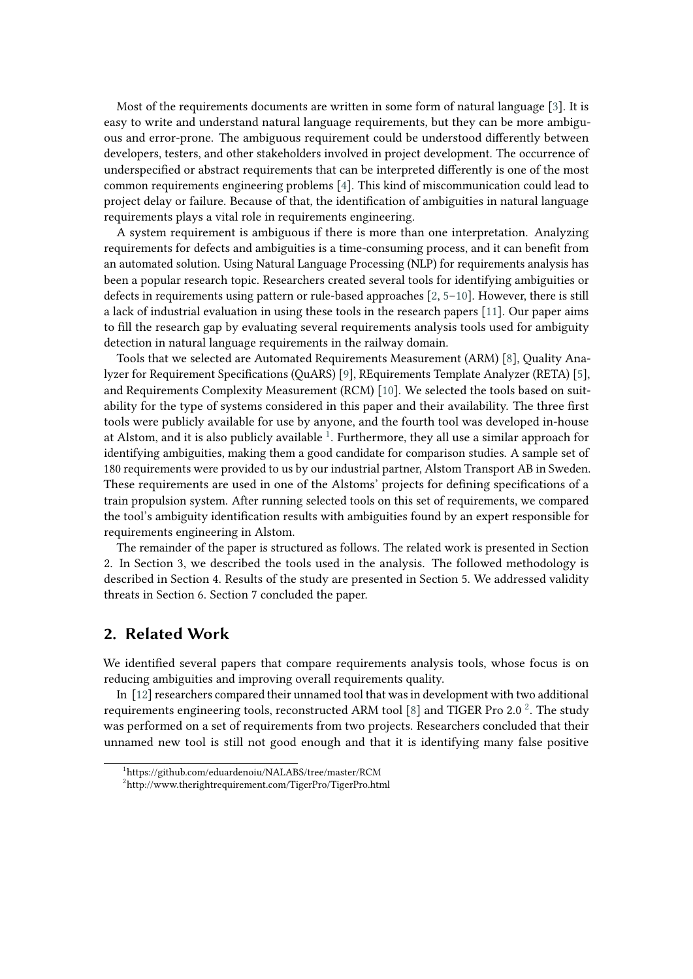Most of the requirements documents are written in some form of natural language [\[3\]](#page-8-0). It is easy to write and understand natural language requirements, but they can be more ambiguous and error-prone. The ambiguous requirement could be understood differently between developers, testers, and other stakeholders involved in project development. The occurrence of underspecified or abstract requirements that can be interpreted differently is one of the most common requirements engineering problems [\[4\]](#page-8-1). This kind of miscommunication could lead to project delay or failure. Because of that, the identification of ambiguities in natural language requirements plays a vital role in requirements engineering.

A system requirement is ambiguous if there is more than one interpretation. Analyzing requirements for defects and ambiguities is a time-consuming process, and it can benefit from an automated solution. Using Natural Language Processing (NLP) for requirements analysis has been a popular research topic. Researchers created several tools for identifying ambiguities or defects in requirements using pattern or rule-based approaches [\[2,](#page-8-2) [5–](#page-8-3)[10\]](#page-8-4). However, there is still a lack of industrial evaluation in using these tools in the research papers [\[11\]](#page-8-5). Our paper aims to fill the research gap by evaluating several requirements analysis tools used for ambiguity detection in natural language requirements in the railway domain.

Tools that we selected are Automated Requirements Measurement (ARM) [\[8\]](#page-8-6), Quality Analyzer for Requirement Specifications (QuARS) [\[9\]](#page-8-7), REquirements Template Analyzer (RETA) [\[5\]](#page-8-3), and Requirements Complexity Measurement (RCM) [\[10\]](#page-8-4). We selected the tools based on suitability for the type of systems considered in this paper and their availability. The three first tools were publicly available for use by anyone, and the fourth tool was developed in-house at Alstom, and it is also publicly available  $^1$  $^1$ . Furthermore, they all use a similar approach for identifying ambiguities, making them a good candidate for comparison studies. A sample set of 180 requirements were provided to us by our industrial partner, Alstom Transport AB in Sweden. These requirements are used in one of the Alstoms' projects for defining specifications of a train propulsion system. After running selected tools on this set of requirements, we compared the tool's ambiguity identification results with ambiguities found by an expert responsible for requirements engineering in Alstom.

The remainder of the paper is structured as follows. The related work is presented in Section 2. In Section 3, we described the tools used in the analysis. The followed methodology is described in Section 4. Results of the study are presented in Section 5. We addressed validity threats in Section 6. Section 7 concluded the paper.

## **2. Related Work**

We identified several papers that compare requirements analysis tools, whose focus is on reducing ambiguities and improving overall requirements quality.

In [\[12\]](#page-8-8) researchers compared their unnamed tool that was in development with two additional requirements engineering tools, reconstructed ARM tool [\[8\]](#page-8-6) and TIGER Pro [2](#page-1-1).0  $^2$ . The study was performed on a set of requirements from two projects. Researchers concluded that their unnamed new tool is still not good enough and that it is identifying many false positive

<span id="page-1-0"></span><sup>1</sup> https://github.com/eduardenoiu/NALABS/tree/master/RCM

<span id="page-1-1"></span> $^{2}$ http://www.therightrequirement.com/TigerPro/TigerPro.html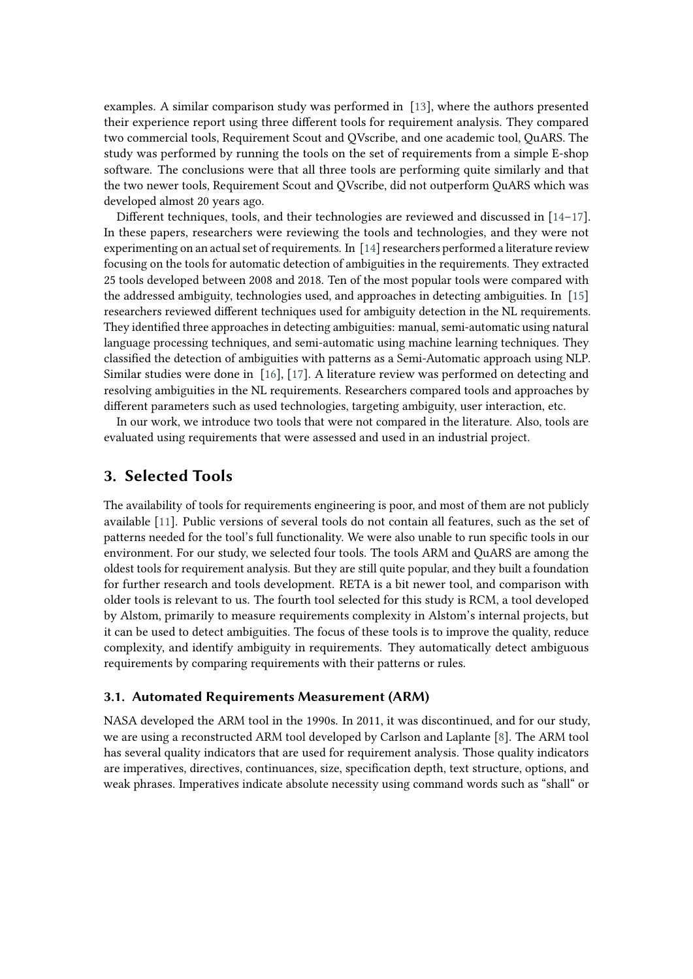examples. A similar comparison study was performed in [\[13\]](#page-8-9), where the authors presented their experience report using three different tools for requirement analysis. They compared two commercial tools, Requirement Scout and QVscribe, and one academic tool, QuARS. The study was performed by running the tools on the set of requirements from a simple E-shop software. The conclusions were that all three tools are performing quite similarly and that the two newer tools, Requirement Scout and QVscribe, did not outperform QuARS which was developed almost 20 years ago.

Different techniques, tools, and their technologies are reviewed and discussed in  $[14-17]$  $[14-17]$ . In these papers, researchers were reviewing the tools and technologies, and they were not experimenting on an actual set of requirements. In [\[14\]](#page-8-10) researchers performed a literature review focusing on the tools for automatic detection of ambiguities in the requirements. They extracted 25 tools developed between 2008 and 2018. Ten of the most popular tools were compared with the addressed ambiguity, technologies used, and approaches in detecting ambiguities. In [\[15\]](#page-8-12) researchers reviewed different techniques used for ambiguity detection in the NL requirements. They identified three approaches in detecting ambiguities: manual, semi-automatic using natural language processing techniques, and semi-automatic using machine learning techniques. They classified the detection of ambiguities with patterns as a Semi-Automatic approach using NLP. Similar studies were done in [\[16\]](#page-8-13), [\[17\]](#page-8-11). A literature review was performed on detecting and resolving ambiguities in the NL requirements. Researchers compared tools and approaches by different parameters such as used technologies, targeting ambiguity, user interaction, etc.

In our work, we introduce two tools that were not compared in the literature. Also, tools are evaluated using requirements that were assessed and used in an industrial project.

## <span id="page-2-0"></span>**3. Selected Tools**

The availability of tools for requirements engineering is poor, and most of them are not publicly available [\[11\]](#page-8-5). Public versions of several tools do not contain all features, such as the set of patterns needed for the tool's full functionality. We were also unable to run specific tools in our environment. For our study, we selected four tools. The tools ARM and QuARS are among the oldest tools for requirement analysis. But they are still quite popular, and they built a foundation for further research and tools development. RETA is a bit newer tool, and comparison with older tools is relevant to us. The fourth tool selected for this study is RCM, a tool developed by Alstom, primarily to measure requirements complexity in Alstom's internal projects, but it can be used to detect ambiguities. The focus of these tools is to improve the quality, reduce complexity, and identify ambiguity in requirements. They automatically detect ambiguous requirements by comparing requirements with their patterns or rules.

## **3.1. Automated Requirements Measurement (ARM)**

NASA developed the ARM tool in the 1990s. In 2011, it was discontinued, and for our study, we are using a reconstructed ARM tool developed by Carlson and Laplante [\[8\]](#page-8-6). The ARM tool has several quality indicators that are used for requirement analysis. Those quality indicators are imperatives, directives, continuances, size, specification depth, text structure, options, and weak phrases. Imperatives indicate absolute necessity using command words such as "shall" or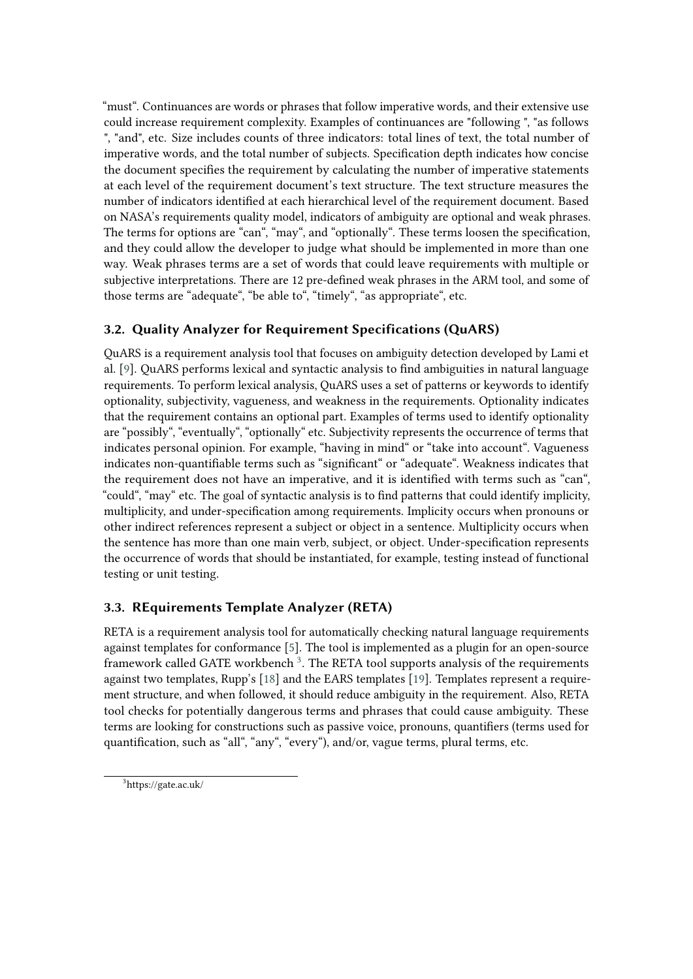"must". Continuances are words or phrases that follow imperative words, and their extensive use could increase requirement complexity. Examples of continuances are "following ", "as follows ", "and", etc. Size includes counts of three indicators: total lines of text, the total number of imperative words, and the total number of subjects. Specification depth indicates how concise the document specifies the requirement by calculating the number of imperative statements at each level of the requirement document's text structure. The text structure measures the number of indicators identified at each hierarchical level of the requirement document. Based on NASA's requirements quality model, indicators of ambiguity are optional and weak phrases. The terms for options are "can", "may", and "optionally". These terms loosen the specification, and they could allow the developer to judge what should be implemented in more than one way. Weak phrases terms are a set of words that could leave requirements with multiple or subjective interpretations. There are 12 pre-defined weak phrases in the ARM tool, and some of those terms are "adequate", "be able to", "timely", "as appropriate", etc.

# **3.2. Quality Analyzer for Requirement Specifications (QuARS)**

QuARS is a requirement analysis tool that focuses on ambiguity detection developed by Lami et al. [\[9\]](#page-8-7). QuARS performs lexical and syntactic analysis to find ambiguities in natural language requirements. To perform lexical analysis, QuARS uses a set of patterns or keywords to identify optionality, subjectivity, vagueness, and weakness in the requirements. Optionality indicates that the requirement contains an optional part. Examples of terms used to identify optionality are "possibly", "eventually", "optionally" etc. Subjectivity represents the occurrence of terms that indicates personal opinion. For example, "having in mind" or "take into account". Vagueness indicates non-quantifiable terms such as "significant" or "adequate". Weakness indicates that the requirement does not have an imperative, and it is identified with terms such as "can", "could", "may" etc. The goal of syntactic analysis is to find patterns that could identify implicity, multiplicity, and under-specification among requirements. Implicity occurs when pronouns or other indirect references represent a subject or object in a sentence. Multiplicity occurs when the sentence has more than one main verb, subject, or object. Under-specification represents the occurrence of words that should be instantiated, for example, testing instead of functional testing or unit testing.

# **3.3. REquirements Template Analyzer (RETA)**

RETA is a requirement analysis tool for automatically checking natural language requirements against templates for conformance [\[5\]](#page-8-3). The tool is implemented as a plugin for an open-source framework called GATE workbench  $^3$  $^3$ . The RETA tool supports analysis of the requirements against two templates, Rupp's [\[18\]](#page-9-0) and the EARS templates [\[19\]](#page-9-1). Templates represent a requirement structure, and when followed, it should reduce ambiguity in the requirement. Also, RETA tool checks for potentially dangerous terms and phrases that could cause ambiguity. These terms are looking for constructions such as passive voice, pronouns, quantifiers (terms used for quantification, such as "all", "any", "every"), and/or, vague terms, plural terms, etc.

<span id="page-3-0"></span><sup>3</sup> https://gate.ac.uk/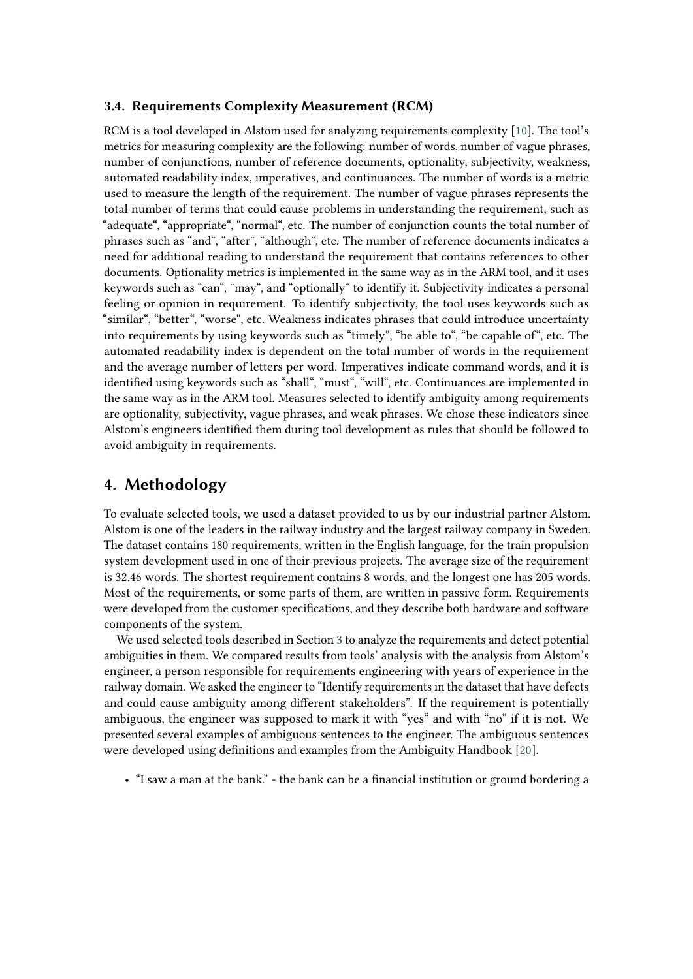## **3.4. Requirements Complexity Measurement (RCM)**

RCM is a tool developed in Alstom used for analyzing requirements complexity [\[10\]](#page-8-4). The tool's metrics for measuring complexity are the following: number of words, number of vague phrases, number of conjunctions, number of reference documents, optionality, subjectivity, weakness, automated readability index, imperatives, and continuances. The number of words is a metric used to measure the length of the requirement. The number of vague phrases represents the total number of terms that could cause problems in understanding the requirement, such as "adequate", "appropriate", "normal", etc. The number of conjunction counts the total number of phrases such as "and", "after", "although", etc. The number of reference documents indicates a need for additional reading to understand the requirement that contains references to other documents. Optionality metrics is implemented in the same way as in the ARM tool, and it uses keywords such as "can", "may", and "optionally" to identify it. Subjectivity indicates a personal feeling or opinion in requirement. To identify subjectivity, the tool uses keywords such as "similar", "better", "worse", etc. Weakness indicates phrases that could introduce uncertainty into requirements by using keywords such as "timely", "be able to", "be capable of", etc. The automated readability index is dependent on the total number of words in the requirement and the average number of letters per word. Imperatives indicate command words, and it is identified using keywords such as "shall", "must", "will", etc. Continuances are implemented in the same way as in the ARM tool. Measures selected to identify ambiguity among requirements are optionality, subjectivity, vague phrases, and weak phrases. We chose these indicators since Alstom's engineers identified them during tool development as rules that should be followed to avoid ambiguity in requirements.

## **4. Methodology**

To evaluate selected tools, we used a dataset provided to us by our industrial partner Alstom. Alstom is one of the leaders in the railway industry and the largest railway company in Sweden. The dataset contains 180 requirements, written in the English language, for the train propulsion system development used in one of their previous projects. The average size of the requirement is 32.46 words. The shortest requirement contains 8 words, and the longest one has 205 words. Most of the requirements, or some parts of them, are written in passive form. Requirements were developed from the customer specifications, and they describe both hardware and software components of the system.

We used selected tools described in Section [3](#page-2-0) to analyze the requirements and detect potential ambiguities in them. We compared results from tools' analysis with the analysis from Alstom's engineer, a person responsible for requirements engineering with years of experience in the railway domain. We asked the engineer to "Identify requirements in the dataset that have defects and could cause ambiguity among different stakeholders". If the requirement is potentially ambiguous, the engineer was supposed to mark it with "yes" and with "no" if it is not. We presented several examples of ambiguous sentences to the engineer. The ambiguous sentences were developed using definitions and examples from the Ambiguity Handbook [\[20\]](#page-9-2).

• "I saw a man at the bank." - the bank can be a financial institution or ground bordering a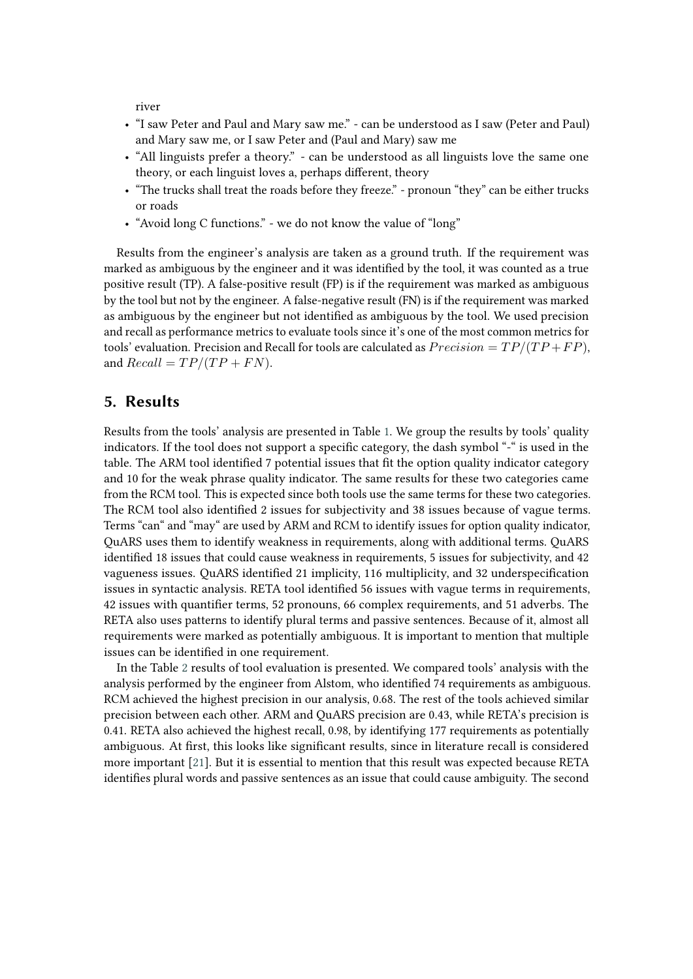river

- "I saw Peter and Paul and Mary saw me." can be understood as I saw (Peter and Paul) and Mary saw me, or I saw Peter and (Paul and Mary) saw me
- "All linguists prefer a theory." can be understood as all linguists love the same one theory, or each linguist loves a, perhaps different, theory
- "The trucks shall treat the roads before they freeze." pronoun "they" can be either trucks or roads
- "Avoid long C functions." we do not know the value of "long"

Results from the engineer's analysis are taken as a ground truth. If the requirement was marked as ambiguous by the engineer and it was identified by the tool, it was counted as a true positive result (TP). A false-positive result (FP) is if the requirement was marked as ambiguous by the tool but not by the engineer. A false-negative result (FN) is if the requirement was marked as ambiguous by the engineer but not identified as ambiguous by the tool. We used precision and recall as performance metrics to evaluate tools since it's one of the most common metrics for tools' evaluation. Precision and Recall for tools are calculated as  $Precision = TP/(TP + FP)$ , and  $Recall = TP/(TP + FN)$ .

## **5. Results**

Results from the tools' analysis are presented in Table [1.](#page-6-0) We group the results by tools' quality indicators. If the tool does not support a specific category, the dash symbol "-" is used in the table. The ARM tool identified 7 potential issues that fit the option quality indicator category and 10 for the weak phrase quality indicator. The same results for these two categories came from the RCM tool. This is expected since both tools use the same terms for these two categories. The RCM tool also identified 2 issues for subjectivity and 38 issues because of vague terms. Terms "can" and "may" are used by ARM and RCM to identify issues for option quality indicator, QuARS uses them to identify weakness in requirements, along with additional terms. QuARS identified 18 issues that could cause weakness in requirements, 5 issues for subjectivity, and 42 vagueness issues. QuARS identified 21 implicity, 116 multiplicity, and 32 underspecification issues in syntactic analysis. RETA tool identified 56 issues with vague terms in requirements, 42 issues with quantifier terms, 52 pronouns, 66 complex requirements, and 51 adverbs. The RETA also uses patterns to identify plural terms and passive sentences. Because of it, almost all requirements were marked as potentially ambiguous. It is important to mention that multiple issues can be identified in one requirement.

In the Table [2](#page-6-1) results of tool evaluation is presented. We compared tools' analysis with the analysis performed by the engineer from Alstom, who identified 74 requirements as ambiguous. RCM achieved the highest precision in our analysis, 0.68. The rest of the tools achieved similar precision between each other. ARM and QuARS precision are 0.43, while RETA's precision is 0.41. RETA also achieved the highest recall, 0.98, by identifying 177 requirements as potentially ambiguous. At first, this looks like significant results, since in literature recall is considered more important [\[21\]](#page-9-3). But it is essential to mention that this result was expected because RETA identifies plural words and passive sentences as an issue that could cause ambiguity. The second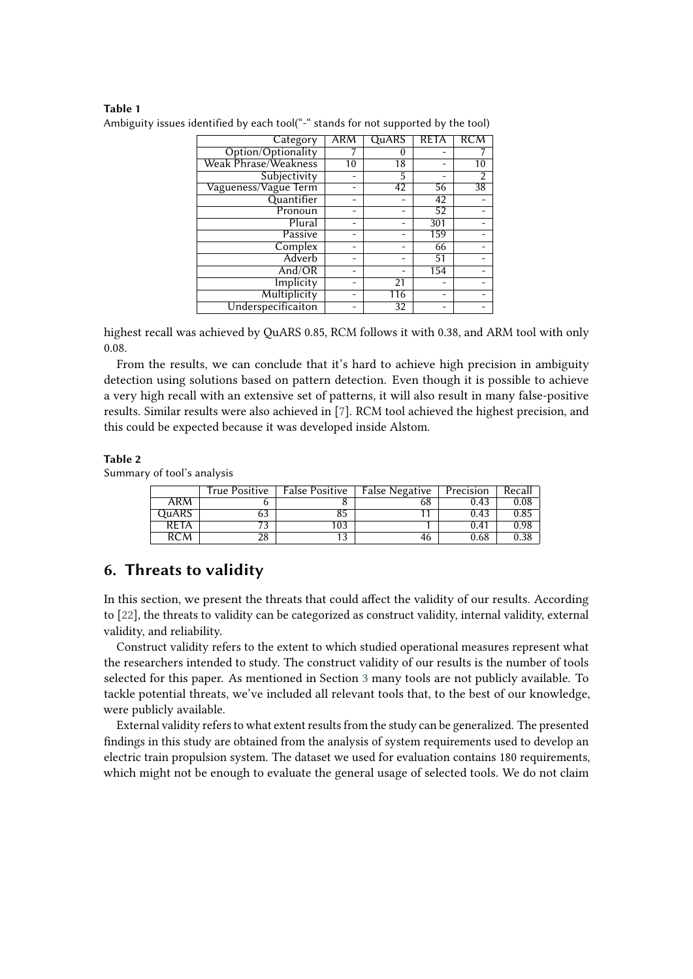## <span id="page-6-0"></span>**Table 1**

| Category                    | ARM             | <b>QuARS</b>    | <b>RETA</b> | RCM             |
|-----------------------------|-----------------|-----------------|-------------|-----------------|
| Option/Optionality          |                 | 0               |             |                 |
| <b>Weak Phrase/Weakness</b> | $\overline{10}$ | 18              |             | 10              |
| Subjectivity                |                 | 5               |             | 2               |
| Vagueness/Vague Term        |                 | 42              | 56          | $\overline{38}$ |
| Quantifier                  |                 |                 | 42          |                 |
| Pronoun                     | -               |                 | 52          |                 |
| Plural                      | -               |                 | 301         |                 |
| Passive                     |                 |                 | 159         |                 |
| Complex                     |                 |                 | 66          |                 |
| Adverb                      |                 |                 | 51          |                 |
| And/OR                      |                 |                 | 154         |                 |
| Implicity                   |                 | 21              |             |                 |
| Multiplicity                |                 | 116             |             |                 |
| Underspecificaiton          |                 | $\overline{32}$ |             |                 |

Ambiguity issues identified by each tool("-" stands for not supported by the tool)

highest recall was achieved by QuARS 0.85, RCM follows it with 0.38, and ARM tool with only 0.08.

From the results, we can conclude that it's hard to achieve high precision in ambiguity detection using solutions based on pattern detection. Even though it is possible to achieve a very high recall with an extensive set of patterns, it will also result in many false-positive results. Similar results were also achieved in [\[7\]](#page-8-14). RCM tool achieved the highest precision, and this could be expected because it was developed inside Alstom.

#### <span id="page-6-1"></span>**Table 2**

Summary of tool's analysis

|       | True Positive | False Positive   False Negative   Precision |      | Recall |
|-------|---------------|---------------------------------------------|------|--------|
| ARM   |               |                                             | 0.43 |        |
| uARS. | DJ            |                                             | 0.43 |        |
| RETA  |               |                                             | 0.41 |        |
|       |               |                                             | 0.68 |        |

## **6. Threats to validity**

In this section, we present the threats that could affect the validity of our results. According to [\[22\]](#page-9-4), the threats to validity can be categorized as construct validity, internal validity, external validity, and reliability.

Construct validity refers to the extent to which studied operational measures represent what the researchers intended to study. The construct validity of our results is the number of tools selected for this paper. As mentioned in Section [3](#page-2-0) many tools are not publicly available. To tackle potential threats, we've included all relevant tools that, to the best of our knowledge, were publicly available.

External validity refers to what extent results from the study can be generalized. The presented findings in this study are obtained from the analysis of system requirements used to develop an electric train propulsion system. The dataset we used for evaluation contains 180 requirements, which might not be enough to evaluate the general usage of selected tools. We do not claim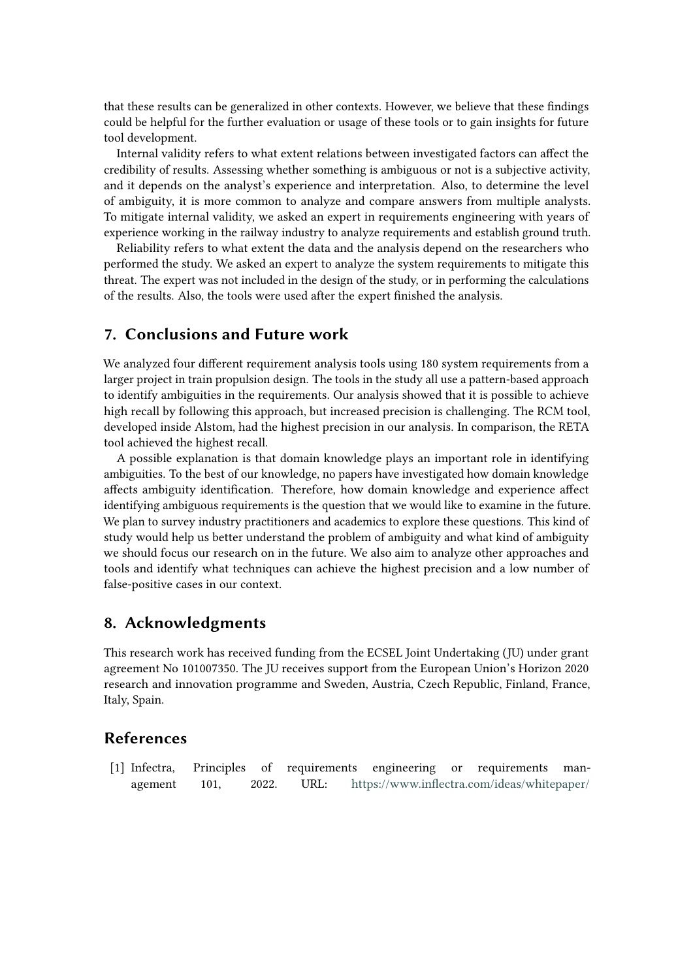that these results can be generalized in other contexts. However, we believe that these findings could be helpful for the further evaluation or usage of these tools or to gain insights for future tool development.

Internal validity refers to what extent relations between investigated factors can affect the credibility of results. Assessing whether something is ambiguous or not is a subjective activity, and it depends on the analyst's experience and interpretation. Also, to determine the level of ambiguity, it is more common to analyze and compare answers from multiple analysts. To mitigate internal validity, we asked an expert in requirements engineering with years of experience working in the railway industry to analyze requirements and establish ground truth.

Reliability refers to what extent the data and the analysis depend on the researchers who performed the study. We asked an expert to analyze the system requirements to mitigate this threat. The expert was not included in the design of the study, or in performing the calculations of the results. Also, the tools were used after the expert finished the analysis.

## **7. Conclusions and Future work**

We analyzed four different requirement analysis tools using 180 system requirements from a larger project in train propulsion design. The tools in the study all use a pattern-based approach to identify ambiguities in the requirements. Our analysis showed that it is possible to achieve high recall by following this approach, but increased precision is challenging. The RCM tool, developed inside Alstom, had the highest precision in our analysis. In comparison, the RETA tool achieved the highest recall.

A possible explanation is that domain knowledge plays an important role in identifying ambiguities. To the best of our knowledge, no papers have investigated how domain knowledge affects ambiguity identification. Therefore, how domain knowledge and experience affect identifying ambiguous requirements is the question that we would like to examine in the future. We plan to survey industry practitioners and academics to explore these questions. This kind of study would help us better understand the problem of ambiguity and what kind of ambiguity we should focus our research on in the future. We also aim to analyze other approaches and tools and identify what techniques can achieve the highest precision and a low number of false-positive cases in our context.

## **8. Acknowledgments**

This research work has received funding from the ECSEL Joint Undertaking (JU) under grant agreement No 101007350. The JU receives support from the European Union's Horizon 2020 research and innovation programme and Sweden, Austria, Czech Republic, Finland, France, Italy, Spain.

# **References**

[1] Infectra, Principles of requirements engineering or requirements management 101, 2022. URL: [https://www.inflectra.com/ideas/whitepaper/](https://www.inflectra.com/ideas/whitepaper/principles-of-requirements-engineering.aspx)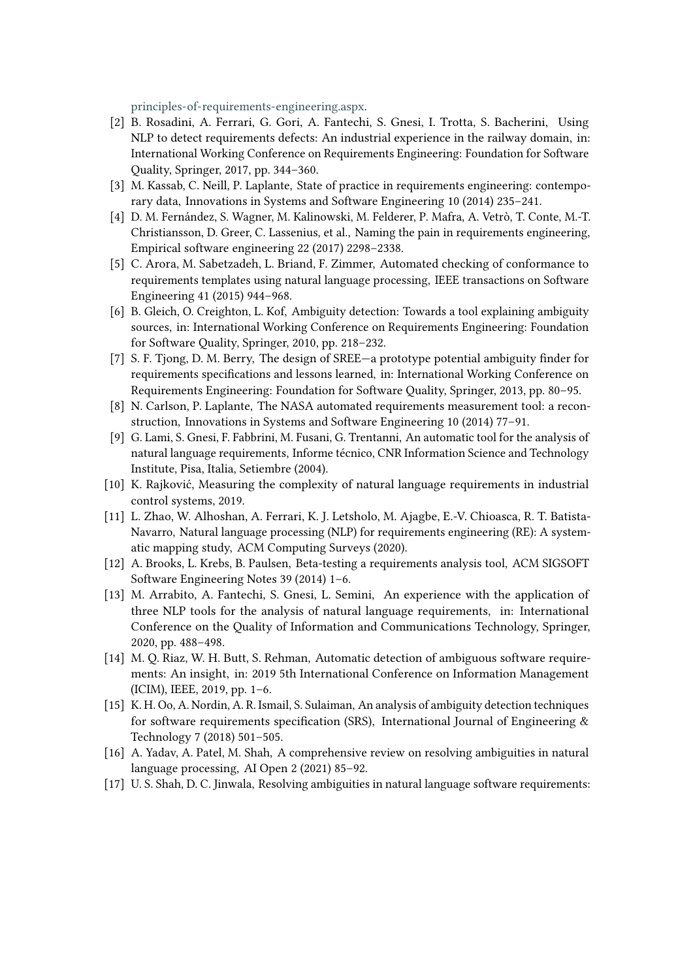[principles-of-requirements-engineering.aspx.](https://www.inflectra.com/ideas/whitepaper/principles-of-requirements-engineering.aspx)

- <span id="page-8-2"></span>[2] B. Rosadini, A. Ferrari, G. Gori, A. Fantechi, S. Gnesi, I. Trotta, S. Bacherini, Using NLP to detect requirements defects: An industrial experience in the railway domain, in: International Working Conference on Requirements Engineering: Foundation for Software Quality, Springer, 2017, pp. 344–360.
- <span id="page-8-0"></span>[3] M. Kassab, C. Neill, P. Laplante, State of practice in requirements engineering: contemporary data, Innovations in Systems and Software Engineering 10 (2014) 235–241.
- <span id="page-8-1"></span>[4] D. M. Fernández, S. Wagner, M. Kalinowski, M. Felderer, P. Mafra, A. Vetrò, T. Conte, M.-T. Christiansson, D. Greer, C. Lassenius, et al., Naming the pain in requirements engineering, Empirical software engineering 22 (2017) 2298–2338.
- <span id="page-8-3"></span>[5] C. Arora, M. Sabetzadeh, L. Briand, F. Zimmer, Automated checking of conformance to requirements templates using natural language processing, IEEE transactions on Software Engineering 41 (2015) 944–968.
- [6] B. Gleich, O. Creighton, L. Kof, Ambiguity detection: Towards a tool explaining ambiguity sources, in: International Working Conference on Requirements Engineering: Foundation for Software Quality, Springer, 2010, pp. 218–232.
- <span id="page-8-14"></span>[7] S. F. Tjong, D. M. Berry, The design of SREE—a prototype potential ambiguity finder for requirements specifications and lessons learned, in: International Working Conference on Requirements Engineering: Foundation for Software Quality, Springer, 2013, pp. 80–95.
- <span id="page-8-6"></span>[8] N. Carlson, P. Laplante, The NASA automated requirements measurement tool: a reconstruction, Innovations in Systems and Software Engineering 10 (2014) 77–91.
- <span id="page-8-7"></span>[9] G. Lami, S. Gnesi, F. Fabbrini, M. Fusani, G. Trentanni, An automatic tool for the analysis of natural language requirements, Informe técnico, CNR Information Science and Technology Institute, Pisa, Italia, Setiembre (2004).
- <span id="page-8-4"></span>[10] K. Rajković, Measuring the complexity of natural language requirements in industrial control systems, 2019.
- <span id="page-8-5"></span>[11] L. Zhao, W. Alhoshan, A. Ferrari, K. J. Letsholo, M. Ajagbe, E.-V. Chioasca, R. T. Batista-Navarro, Natural language processing (NLP) for requirements engineering (RE): A systematic mapping study, ACM Computing Surveys (2020).
- <span id="page-8-8"></span>[12] A. Brooks, L. Krebs, B. Paulsen, Beta-testing a requirements analysis tool, ACM SIGSOFT Software Engineering Notes 39 (2014) 1–6.
- <span id="page-8-9"></span>[13] M. Arrabito, A. Fantechi, S. Gnesi, L. Semini, An experience with the application of three NLP tools for the analysis of natural language requirements, in: International Conference on the Quality of Information and Communications Technology, Springer, 2020, pp. 488–498.
- <span id="page-8-10"></span>[14] M. Q. Riaz, W. H. Butt, S. Rehman, Automatic detection of ambiguous software requirements: An insight, in: 2019 5th International Conference on Information Management (ICIM), IEEE, 2019, pp. 1–6.
- <span id="page-8-12"></span>[15] K. H. Oo, A. Nordin, A. R. Ismail, S. Sulaiman, An analysis of ambiguity detection techniques for software requirements specification (SRS), International Journal of Engineering  $\&$ Technology 7 (2018) 501–505.
- <span id="page-8-13"></span>[16] A. Yadav, A. Patel, M. Shah, A comprehensive review on resolving ambiguities in natural language processing, AI Open 2 (2021) 85–92.
- <span id="page-8-11"></span>[17] U. S. Shah, D. C. Jinwala, Resolving ambiguities in natural language software requirements: